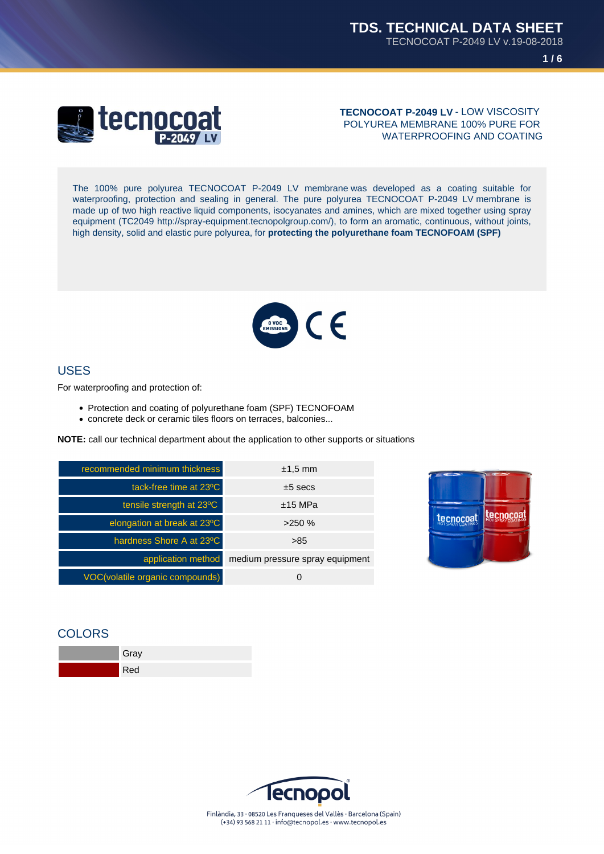**1 / 6**



**TECNOCOAT P-2049 LV** - LOW VISCOSITY POLYUREA MEMBRANE 100% PURE FOR WATERPROOFING AND COATING

The 100% pure polyurea TECNOCOAT P-2049 LV membrane was developed as a coating suitable for waterproofing, protection and sealing in general. The pure polyurea TECNOCOAT P-2049 LV membrane is made up of two high reactive liquid components, isocyanates and amines, which are mixed together using spray equipment (TC2049 http://spray-equipment.tecnopolgroup.com/), to form an aromatic, continuous, without joints, high density, solid and elastic pure polyurea, for **protecting the polyurethane foam TECNOFOAM (SPF)**



### USES

For waterproofing and protection of:

- Protection and coating of polyurethane foam (SPF) TECNOFOAM
- concrete deck or ceramic tiles floors on terraces, balconies...

**NOTE:** call our technical department about the application to other supports or situations

| recommended minimum thickness   | $±1.5$ mm                       |  |
|---------------------------------|---------------------------------|--|
| tack-free time at 23°C          | $±5$ secs                       |  |
| tensile strength at 23°C        | $±15$ MPa                       |  |
| elongation at break at 23°C     | >250%                           |  |
| hardness Shore A at 23°C        | >85                             |  |
| application method              | medium pressure spray equipment |  |
| VOC(volatile organic compounds) |                                 |  |



## **COLORS**



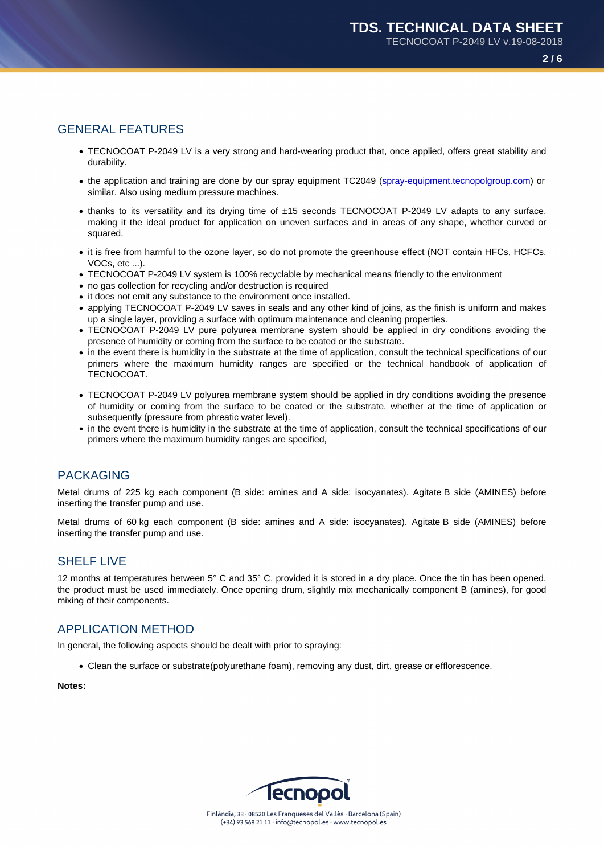# GENERAL FEATURES

- TECNOCOAT P-2049 LV is a very strong and hard-wearing product that, once applied, offers great stability and durability.
- the application and training are done by our spray equipment TC2049 (spray-equipment.tecnopolgroup.com) or similar. Also using medium pressure machines.
- thanks to its versatility and its drying time of ±15 seconds TECNOCOAT P-2049 LV adapts to any surface, making it the ideal product for application on uneven surfaces and in [areas of any shape, whether curved](http://spray-equipment.tecnopolgroup.com) or squared.
- it is free from harmful to the ozone layer, so do not promote the greenhouse effect (NOT contain HFCs, HCFCs, VOCs, etc ...).
- TECNOCOAT P-2049 LV system is 100% recyclable by mechanical means friendly to the environment
- no gas collection for recycling and/or destruction is required
- it does not emit any substance to the environment once installed.
- applying TECNOCOAT P-2049 LV saves in seals and any other kind of joins, as the finish is uniform and makes up a single layer, providing a surface with optimum maintenance and cleaning properties.
- TECNOCOAT P-2049 LV pure polyurea membrane system should be applied in dry conditions avoiding the presence of humidity or coming from the surface to be coated or the substrate.
- in the event there is humidity in the substrate at the time of application, consult the technical specifications of our primers where the maximum humidity ranges are specified or the technical handbook of application of TECNOCOAT.
- TECNOCOAT P-2049 LV polyurea membrane system should be applied in dry conditions avoiding the presence of humidity or coming from the surface to be coated or the substrate, whether at the time of application or subsequently (pressure from phreatic water level).
- in the event there is humidity in the substrate at the time of application, consult the technical specifications of our primers where the maximum humidity ranges are specified,

## PACKAGING

Metal drums of 225 kg each component (B side: amines and A side: isocyanates). Agitate B side (AMINES) before inserting the transfer pump and use.

Metal drums of 60 kg each component (B side: amines and A side: isocyanates). Agitate B side (AMINES) before inserting the transfer pump and use.

## SHELF LIVE

12 months at temperatures between 5° C and 35° C, provided it is stored in a dry place. Once the tin has been opened, the product must be used immediately. Once opening drum, slightly mix mechanically component B (amines), for good mixing of their components.

## APPLICATION METHOD

In general, the following aspects should be dealt with prior to spraying:

Clean the surface or substrate(polyurethane foam), removing any dust, dirt, grease or efflorescence.

Notes: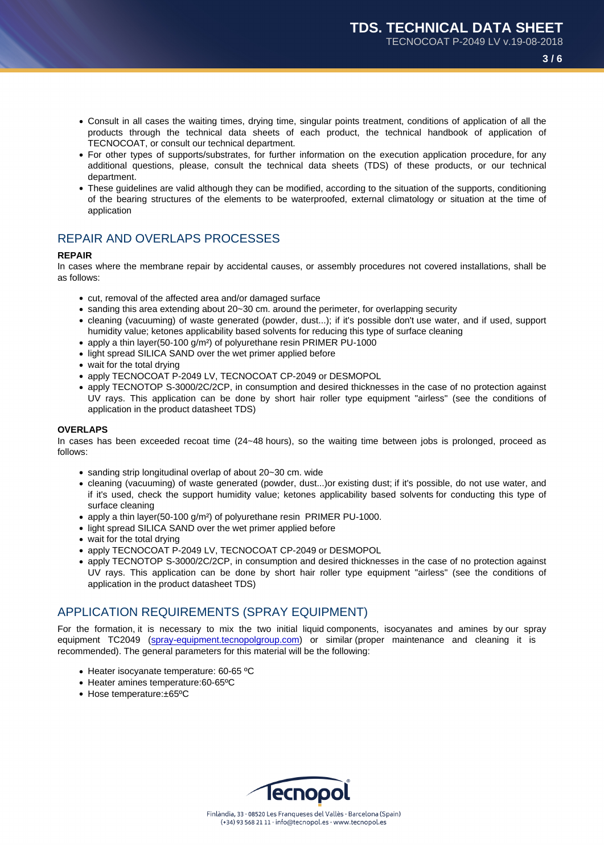- Consult in all cases the waiting times, drying time, singular points treatment, conditions of application of all the products through the technical data sheets of each product, the technical handbook of application of TECNOCOAT, or consult our technical department.
- For other types of supports/substrates, for further information on the execution application procedure, for any additional questions, please, consult the technical data sheets (TDS) of these products, or our technical department.
- These guidelines are valid although they can be modified, according to the situation of the supports, conditioning of the bearing structures of the elements to be waterproofed, external climatology or situation at the time of application

# REPAIR AND OVERLAPS PROCESSES

#### REPAIR

In cases where the membrane repair by accidental causes, or assembly procedures not covered installations, shall be as follows:

- cut, removal of the affected area and/or damaged surface
- sanding this area extending about 20~30 cm. around the perimeter, for overlapping security
- cleaning (vacuuming) of waste generated (powder, dust...); if it's possible don't use water, and if used, support humidity value; ketones applicability based solvents for reducing this type of surface cleaning
- apply a thin layer(50-100 g/m<sup>2</sup>) of polyurethane resin PRIMER PU-1000
- light spread SILICA SAND over the wet primer applied before
- wait for the total drying
- apply TECNOCOAT P-2049 LV, TECNOCOAT CP-2049 or DESMOPOL
- apply TECNOTOP S-3000/2C/2CP, in consumption and desired thicknesses in the case of no protection against UV rays. This application can be done by short hair roller type equipment "airless" (see the conditions of application in the product datasheet TDS)

#### OVERLAPS

In cases has been exceeded recoat time (24~48 hours), so the waiting time between jobs is prolonged, proceed as follows:

- sanding strip longitudinal overlap of about 20~30 cm. wide
- cleaning (vacuuming) of waste generated (powder, dust...)or existing dust; if it's possible, do not use water, and if it's used, check the support humidity value; ketones applicability based solvents for conducting this type of surface cleaning
- apply a thin layer(50-100  $q/m^2$ ) of polyurethane resin PRIMER PU-1000.
- light spread SILICA SAND over the wet primer applied before
- wait for the total drying
- apply TECNOCOAT P-2049 LV, TECNOCOAT CP-2049 or DESMOPOL
- apply TECNOTOP S-3000/2C/2CP, in consumption and desired thicknesses in the case of no protection against UV rays. This application can be done by short hair roller type equipment "airless" (see the conditions of application in the product datasheet TDS)

## APPLICATION REQUIREMENTS (SPRAY EQUIPMENT)

For the formation, it is necessary to mix the two initial liquid components, isocyanates and amines by our spray equipment TC2049 (spray-equipment.tecnopolgroup.com) or similar (proper maintenance and cleaning it is recommended). The general parameters for this material will be the following:

- Heater isocyanate temperature: 60-65 °C
- Heater amines temperature:60-65ºC
- Hose temperat[ure:±65ºC](http://spray-equipment.tecnopolgroup.com)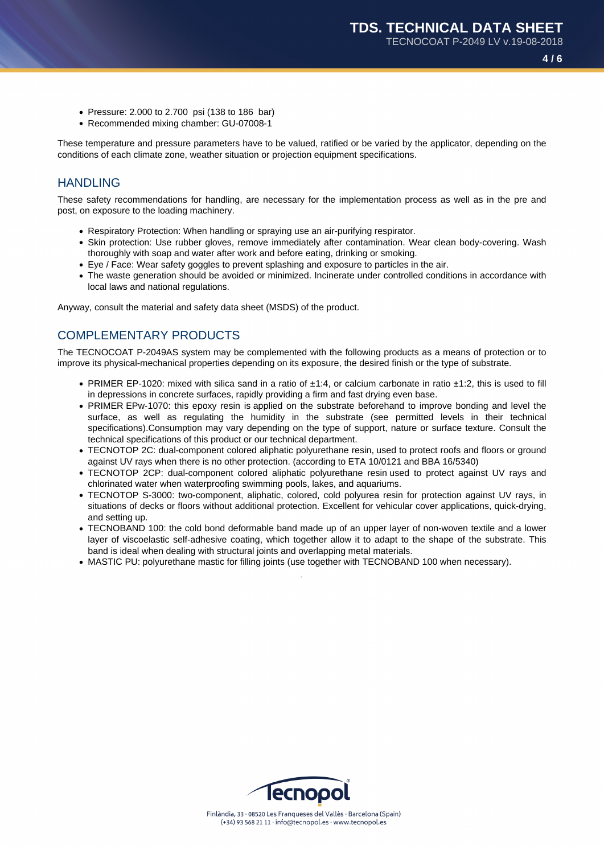- Pressure: 2.000 to 2.700 psi (138 to 186 bar)
- Recommended mixing chamber: GU-07008-1

These temperature and pressure parameters have to be valued, ratified or be varied by the applicator, depending on the conditions of each climate zone, weather situation or projection equipment specifications.

# **HANDLING**

These safety recommendations for handling, are necessary for the implementation process as well as in the pre and post, on exposure to the loading machinery.

- Respiratory Protection: When handling or spraying use an air-purifying respirator.
- Skin protection: Use rubber gloves, remove immediately after contamination. Wear clean body-covering. Wash thoroughly with soap and water after work and before eating, drinking or smoking.
- Eye / Face: Wear safety goggles to prevent splashing and exposure to particles in the air.
- The waste generation should be avoided or minimized. Incinerate under controlled conditions in accordance with local laws and national regulations.

Anyway, consult the material and safety data sheet (MSDS) of the product.

# COMPLEMENTARY PRODUCTS

The TECNOCOAT P-2049AS system may be complemented with the following products as a means of protection or to improve its physical-mechanical properties depending on its exposure, the desired finish or the type of substrate.

- PRIMER EP-1020: mixed with silica sand in a ratio of ±1:4, or calcium carbonate in ratio ±1:2, this is used to fill in depressions in concrete surfaces, rapidly providing a firm and fast drying even base.
- PRIMER EPw-1070: this epoxy resin is applied on the substrate beforehand to improve bonding and level the surface, as well as regulating the humidity in the substrate (see permitted levels in their technical specifications).Consumption may vary depending on the type of support, nature or surface texture. Consult the technical specifications of this product or our technical department.
- TECNOTOP 2C: dual-component colored aliphatic polyurethane resin, used to protect roofs and floors or ground against UV rays when there is no other protection. (according to ETA 10/0121 and BBA 16/5340)
- TECNOTOP 2CP: dual-component colored aliphatic polyurethane resin used to protect against UV rays and chlorinated water when waterproofing swimming pools, lakes, and aquariums.
- TECNOTOP S-3000: two-component, aliphatic, colored, cold polyurea resin for protection against UV rays, in situations of decks or floors without additional protection. Excellent for vehicular cover applications, quick-drying, and setting up.
- TECNOBAND 100: the cold bond deformable band made up of an upper layer of non-woven textile and a lower layer of viscoelastic self-adhesive coating, which together allow it to adapt to the shape of the substrate. This band is ideal when dealing with structural joints and overlapping metal materials.
- MASTIC PU: polyurethane mastic for filling joints (use together with TECNOBAND 100 when necessary).

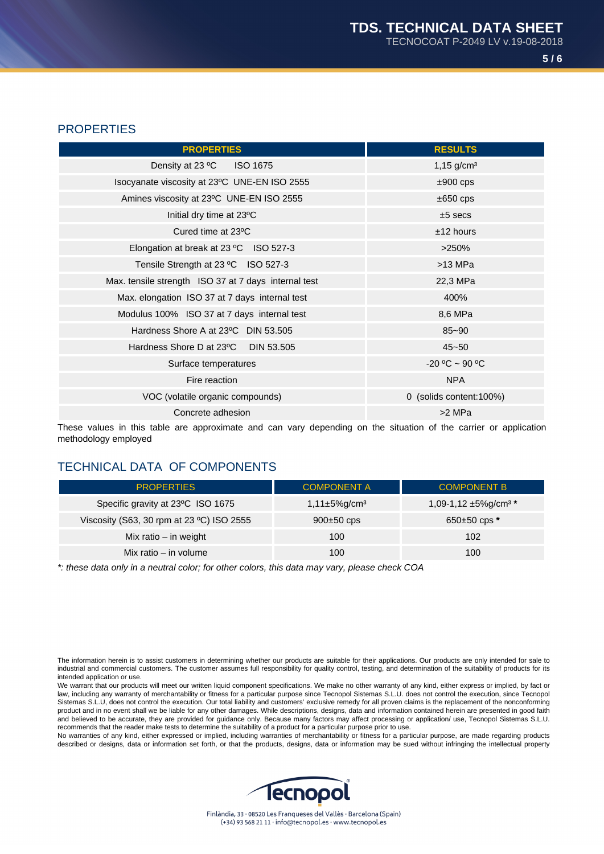**5 / 6**

# **PROPERTIES**

| <b>PROPERTIES</b>                                    | <b>RESULTS</b>          |
|------------------------------------------------------|-------------------------|
| Density at 23 °C ISO 1675                            | $1,15 \text{ g/cm}^3$   |
| Isocyanate viscosity at 23°C UNE-EN ISO 2555         | $±900$ cps              |
| Amines viscosity at 23°C UNE-EN ISO 2555             | $\pm 650$ cps           |
| Initial dry time at 23°C                             | $±5$ secs               |
| Cured time at 23°C                                   | $±12$ hours             |
| Elongation at break at 23 °C ISO 527-3               | >250%                   |
| Tensile Strength at 23 °C ISO 527-3                  | $>13$ MPa               |
| Max. tensile strength ISO 37 at 7 days internal test | 22,3 MPa                |
| Max. elongation ISO 37 at 7 days internal test       | 400%                    |
| Modulus 100% ISO 37 at 7 days internal test          | 8,6 MPa                 |
| Hardness Shore A at 23°C DIN 53.505                  | $85 - 90$               |
| Hardness Shore D at 23 <sup>o</sup> C DIN 53.505     | $45 - 50$               |
| Surface temperatures                                 | $-20 °C \sim 90 °C$     |
| Fire reaction                                        | <b>NPA</b>              |
| VOC (volatile organic compounds)                     | 0 (solids content:100%) |
| Concrete adhesion                                    | >2 MPa                  |

These values in this table are approximate and can vary depending on the situation of the carrier or application methodology employed

# TECHNICAL DATA OF COMPONENTS

| <b>PROPERTIES</b>                         | <b>COMPONENT A</b>             | <b>COMPONENT B</b>                    |
|-------------------------------------------|--------------------------------|---------------------------------------|
| Specific gravity at 23°C ISO 1675         | $1,11\pm5\%$ g/cm <sup>3</sup> | 1,09-1,12 $\pm$ 5%g/cm <sup>3 *</sup> |
| Viscosity (S63, 30 rpm at 23 °C) ISO 2555 | $900\pm50$ cps                 | $650\pm50$ cps $*$                    |
| Mix ratio - in weight                     | 100                            | 102                                   |
| Mix ratio $-$ in volume                   | 100                            | 100                                   |

\*: these data only in a neutral color; for other colors, this data may vary, please check COA

The information herein is to assist customers in determining whether our products are suitable for their applications. Our products are only intended for sale to industrial and commercial customers. The customer assumes full responsibility for quality control, testing, and determination of the suitability of products for its intended application or use.

We warrant that our products will meet our written liquid component specifications. We make no other warranty of any kind, either express or implied, by fact or law, including any warranty of merchantability or fitness for a particular purpose since Tecnopol Sistemas S.L.U. does not control the execution, since Tecnopol Sistemas S.L.U, does not control the execution. Our total liability and customers' exclusive remedy for all proven claims is the replacement of the nonconforming product and in no event shall we be liable for any other damages. While descriptions, designs, data and information contained herein are presented in good faith and believed to be accurate, they are provided for guidance only. Because many factors may affect processing or application/ use, Tecnopol Sistemas S.L.U. recommends that the reader make tests to determine the suitability of a product for a particular purpose prior to use.

No warranties of any kind, either expressed or implied, including warranties of merchantability or fitness for a particular purpose, are made regarding products described or designs, data or information set forth, or that the products, designs, data or information may be sued without infringing the intellectual property